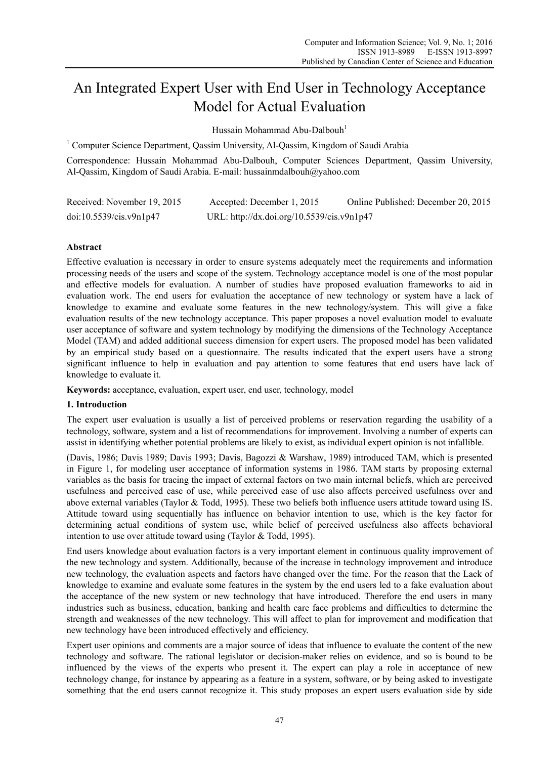# An Integrated Expert User with End User in Technology Acceptance Model for Actual Evaluation

Hussain Mohammad Abu-Dalbouh<sup>1</sup>

<sup>1</sup> Computer Science Department, Qassim University, Al-Qassim, Kingdom of Saudi Arabia

Correspondence: Hussain Mohammad Abu-Dalbouh, Computer Sciences Department, Qassim University, Al-Qassim, Kingdom of Saudi Arabia. E-mail: hussainmdalbouh@yahoo.com

| Received: November 19, 2015 | Accepted: December 1, 2015                 | Online Published: December 20, 2015 |
|-----------------------------|--------------------------------------------|-------------------------------------|
| doi:10.5539/cis.v9n1p47     | URL: http://dx.doi.org/10.5539/cis.v9n1p47 |                                     |

# **Abstract**

Effective evaluation is necessary in order to ensure systems adequately meet the requirements and information processing needs of the users and scope of the system. Technology acceptance model is one of the most popular and effective models for evaluation. A number of studies have proposed evaluation frameworks to aid in evaluation work. The end users for evaluation the acceptance of new technology or system have a lack of knowledge to examine and evaluate some features in the new technology/system. This will give a fake evaluation results of the new technology acceptance. This paper proposes a novel evaluation model to evaluate user acceptance of software and system technology by modifying the dimensions of the Technology Acceptance Model (TAM) and added additional success dimension for expert users. The proposed model has been validated by an empirical study based on a questionnaire. The results indicated that the expert users have a strong significant influence to help in evaluation and pay attention to some features that end users have lack of knowledge to evaluate it.

**Keywords:** acceptance, evaluation, expert user, end user, technology, model

## **1. Introduction**

The expert user evaluation is usually a list of perceived problems or reservation regarding the usability of a technology, software, system and a list of recommendations for improvement. Involving a number of experts can assist in identifying whether potential problems are likely to exist, as individual expert opinion is not infallible.

(Davis, 1986; Davis 1989; Davis 1993; Davis, Bagozzi & Warshaw, 1989) introduced TAM, which is presented in Figure 1, for modeling user acceptance of information systems in 1986. TAM starts by proposing external variables as the basis for tracing the impact of external factors on two main internal beliefs, which are perceived usefulness and perceived ease of use, while perceived ease of use also affects perceived usefulness over and above external variables (Taylor & Todd, 1995). These two beliefs both influence users attitude toward using IS. Attitude toward using sequentially has influence on behavior intention to use, which is the key factor for determining actual conditions of system use, while belief of perceived usefulness also affects behavioral intention to use over attitude toward using (Taylor & Todd, 1995).

End users knowledge about evaluation factors is a very important element in continuous quality improvement of the new technology and system. Additionally, because of the increase in technology improvement and introduce new technology, the evaluation aspects and factors have changed over the time. For the reason that the Lack of knowledge to examine and evaluate some features in the system by the end users led to a fake evaluation about the acceptance of the new system or new technology that have introduced. Therefore the end users in many industries such as business, education, banking and health care face problems and difficulties to determine the strength and weaknesses of the new technology. This will affect to plan for improvement and modification that new technology have been introduced effectively and efficiency.

Expert user opinions and comments are a major source of ideas that influence to evaluate the content of the new technology and software. The rational legislator or decision-maker relies on evidence, and so is bound to be influenced by the views of the experts who present it. The expert can play a role in acceptance of new technology change, for instance by appearing as a feature in a system, software, or by being asked to investigate something that the end users cannot recognize it. This study proposes an expert users evaluation side by side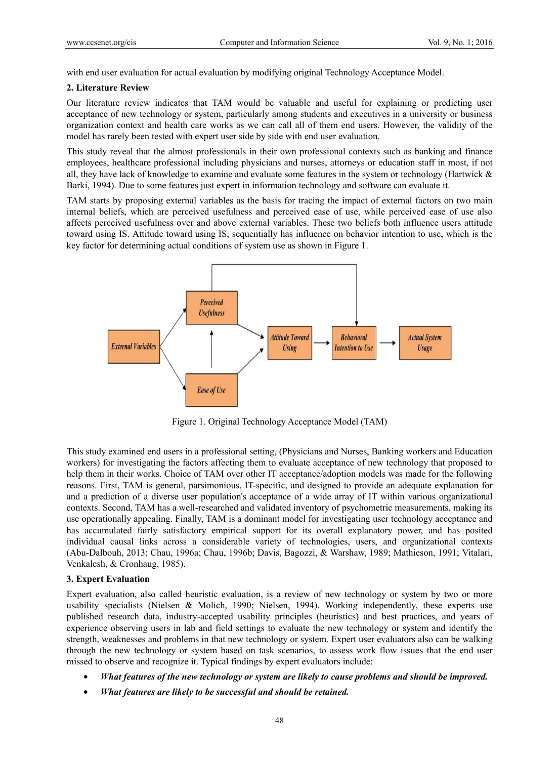with end user evaluation for actual evaluation by modifying original Technology Acceptance Model.

# **2. Literature Review**

Our literature review indicates that ΤΑΜ would be valuable and useful for explaining or predicting user acceptance of new technology or system, particularly among students and executives in a university or business organization context and health care works as we can call all of them end users. However, the validity of the model has rarely been tested with expert user side by side with end user evaluation.

This study reveal that the almost professionals in their own professional contexts such as banking and finance employees, healthcare professional including physicians and nurses, attorneys or education staff in most, if not all, they have lack of knowledge to examine and evaluate some features in the system or technology (Hartwick & Barki, 1994). Due to some features just expert in information technology and software can evaluate it.

TAM starts by proposing external variables as the basis for tracing the impact of external factors on two main internal beliefs, which are perceived usefulness and perceived ease of use, while perceived ease of use also affects perceived usefulness over and above external variables. These two beliefs both influence users attitude toward using IS. Attitude toward using IS, sequentially has influence on behavior intention to use, which is the key factor for determining actual conditions of system use as shown in Figure 1.



Figure 1. Original Technology Acceptance Model (TAM)

This study examined end users in a professional setting, (Physicians and Nurses, Banking workers and Education workers) for investigating the factors affecting them to evaluate acceptance of new technology that proposed to help them in their works. Choice of ΤΑΜ over other IT acceptance/adoption models was made for the following reasons. First, ΤΑΜ is general, parsimonious, IT-specific, and designed to provide an adequate explanation for and a prediction of a diverse user population's acceptance of a wide array of IT within various organizational contexts. Second, ΤΑΜ has a well-researched and validated inventory of psychometric measurements, making its use operationally appealing. Finally, ΤΑΜ is a dominant model for investigating user technology acceptance and has accumulated fairly satisfactory empirical support for its overall explanatory power, and has posited individual causal links across a considerable variety of technologies, users, and organizational contexts (Abu-Dalbouh, 2013; Chau, 1996a; Chau, 1996b; Davis, Bagozzi, & Warshaw, 1989; Mathieson, 1991; Vitalari, Venkalesh, & Cronhaug, 1985).

# **3. Expert Evaluation**

Expert evaluation, also called heuristic evaluation, is a review of new technology or system by two or more usability specialists (Nielsen & Molich, 1990; Nielsen, 1994). Working independently, these experts use published research data, industry-accepted usability principles (heuristics) and best practices, and years of experience observing users in lab and field settings to evaluate the new technology or system and identify the strength, weaknesses and problems in that new technology or system. Expert user evaluators also can be walking through the new technology or system based on task scenarios, to assess work flow issues that the end user missed to observe and recognize it. Typical findings by expert evaluators include:

- *What features of the new technology or system are likely to cause problems and should be improved.*
- *What features are likely to be successful and should be retained.*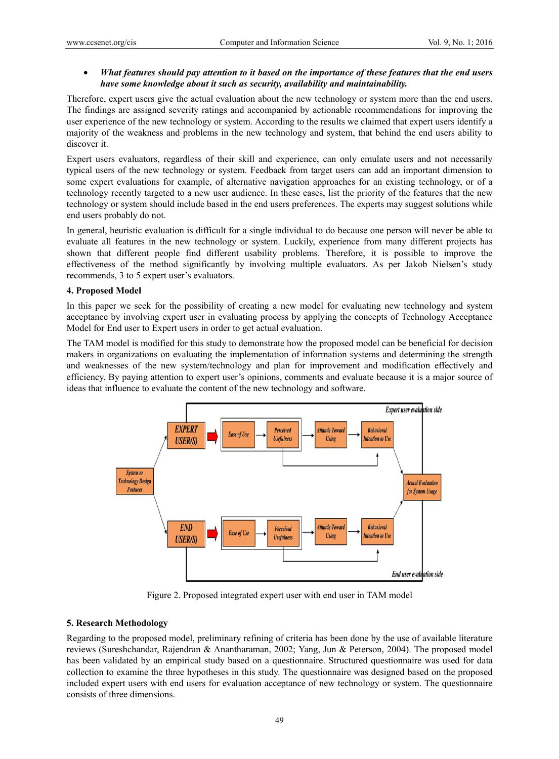# • *What features should pay attention to it based on the importance of these features that the end users have some knowledge about it such as security, availability and maintainability.*

Therefore, expert users give the actual evaluation about the new technology or system more than the end users. The findings are assigned severity ratings and accompanied by actionable recommendations for improving the user experience of the new technology or system. According to the results we claimed that expert users identify a majority of the weakness and problems in the new technology and system, that behind the end users ability to discover it.

Expert users evaluators, regardless of their skill and experience, can only emulate users and not necessarily typical users of the new technology or system. Feedback from target users can add an important dimension to some expert evaluations for example, of alternative navigation approaches for an existing technology, or of a technology recently targeted to a new user audience. In these cases, list the priority of the features that the new technology or system should include based in the end users preferences. The experts may suggest solutions while end users probably do not.

In general, heuristic evaluation is difficult for a single individual to do because one person will never be able to evaluate all features in the new technology or system. Luckily, experience from many different projects has shown that different people find different usability problems. Therefore, it is possible to improve the effectiveness of the method significantly by involving multiple evaluators. As per Jakob Nielsen's study recommends, 3 to 5 expert user's evaluators.

## **4. Proposed Model**

In this paper we seek for the possibility of creating a new model for evaluating new technology and system acceptance by involving expert user in evaluating process by applying the concepts of Technology Acceptance Model for End user to Expert users in order to get actual evaluation.

The TAM model is modified for this study to demonstrate how the proposed model can be beneficial for decision makers in organizations on evaluating the implementation of information systems and determining the strength and weaknesses of the new system/technology and plan for improvement and modification effectively and efficiency. By paying attention to expert user's opinions, comments and evaluate because it is a major source of ideas that influence to evaluate the content of the new technology and software.



Figure 2. Proposed integrated expert user with end user in TAM model

# **5. Research Methodology**

Regarding to the proposed model, preliminary refining of criteria has been done by the use of available literature reviews (Sureshchandar, Rajendran & Anantharaman, 2002; Yang, Jun & Peterson, 2004). The proposed model has been validated by an empirical study based on a questionnaire. Structured questionnaire was used for data collection to examine the three hypotheses in this study. The questionnaire was designed based on the proposed included expert users with end users for evaluation acceptance of new technology or system. The questionnaire consists of three dimensions.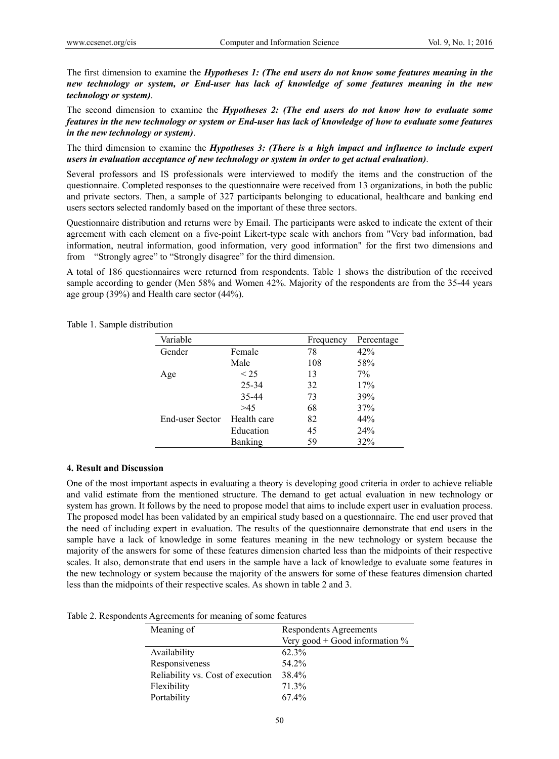The first dimension to examine the *Hypotheses 1: (The end users do not know some features meaning in the new technology or system, or End-user has lack of knowledge of some features meaning in the new technology or system)*.

The second dimension to examine the *Hypotheses 2: (The end users do not know how to evaluate some features in the new technology or system or End-user has lack of knowledge of how to evaluate some features in the new technology or system)*.

The third dimension to examine the *Hypotheses 3: (There is a high impact and influence to include expert users in evaluation acceptance of new technology or system in order to get actual evaluation)*.

Several professors and IS professionals were interviewed to modify the items and the construction of the questionnaire. Completed responses to the questionnaire were received from 13 organizations, in both the public and private sectors. Then, a sample of 327 participants belonging to educational, healthcare and banking end users sectors selected randomly based on the important of these three sectors.

Questionnaire distribution and returns were by Email. The participants were asked to indicate the extent of their agreement with each element on a five-point Likert-type scale with anchors from "Very bad information, bad information, neutral information, good information, very good information" for the first two dimensions and from "Strongly agree" to "Strongly disagree" for the third dimension.

A total of 186 questionnaires were returned from respondents. Table 1 shows the distribution of the received sample according to gender (Men 58% and Women 42%. Majority of the respondents are from the 35-44 years age group (39%) and Health care sector (44%).

| Variable        |                | Frequency | Percentage |
|-----------------|----------------|-----------|------------|
| Gender          | Female         | 78        | 42%        |
|                 | Male           | 108       | 58%        |
| Age             | $\leq$ 25      | 13        | $7\%$      |
|                 | 25-34          | 32        | 17%        |
|                 | 35-44          | 73        | 39%        |
|                 | >45            | 68        | 37%        |
| End-user Sector | Health care    | 82        | 44%        |
|                 | Education      | 45        | 24%        |
|                 | <b>Banking</b> | 59        | 32%        |

Table 1. Sample distribution

#### **4. Result and Discussion**

One of the most important aspects in evaluating a theory is developing good criteria in order to achieve reliable and valid estimate from the mentioned structure. The demand to get actual evaluation in new technology or system has grown. It follows by the need to propose model that aims to include expert user in evaluation process. The proposed model has been validated by an empirical study based on a questionnaire. The end user proved that the need of including expert in evaluation. The results of the questionnaire demonstrate that end users in the sample have a lack of knowledge in some features meaning in the new technology or system because the majority of the answers for some of these features dimension charted less than the midpoints of their respective scales. It also, demonstrate that end users in the sample have a lack of knowledge to evaluate some features in the new technology or system because the majority of the answers for some of these features dimension charted less than the midpoints of their respective scales. As shown in table 2 and 3.

Table 2. Respondents Agreements for meaning of some features

| Meaning of                        | <b>Respondents Agreements</b>     |  |
|-----------------------------------|-----------------------------------|--|
|                                   | Very good + Good information $\%$ |  |
| Availability                      | 62.3%                             |  |
| Responsiveness                    | 54.2%                             |  |
| Reliability vs. Cost of execution | 38.4%                             |  |
| Flexibility                       | 71.3%                             |  |
| Portability                       | $67.4\%$                          |  |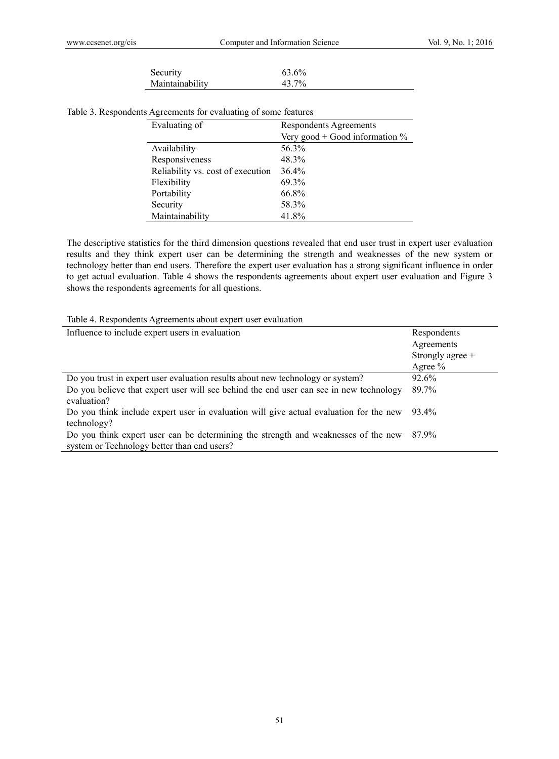| Security        | 63.6% |
|-----------------|-------|
| Maintainability | 43.7% |

Table 3. Respondents Agreements for evaluating of some features

| Evaluating of                     | <b>Respondents Agreements</b>     |  |
|-----------------------------------|-----------------------------------|--|
|                                   | Very good + Good information $\%$ |  |
| Availability                      | 56.3%                             |  |
| Responsiveness                    | 48.3%                             |  |
| Reliability vs. cost of execution | 36.4%                             |  |
| Flexibility                       | 69.3%                             |  |
| Portability                       | 66.8%                             |  |
| Security                          | 58.3%                             |  |
| Maintainability                   | 41.8%                             |  |

The descriptive statistics for the third dimension questions revealed that end user trust in expert user evaluation results and they think expert user can be determining the strength and weaknesses of the new system or technology better than end users. Therefore the expert user evaluation has a strong significant influence in order to get actual evaluation. Table 4 shows the respondents agreements about expert user evaluation and Figure 3 shows the respondents agreements for all questions.

# Table 4. Respondents Agreements about expert user evaluation

| Influence to include expert users in evaluation                                                       | Respondents      |
|-------------------------------------------------------------------------------------------------------|------------------|
|                                                                                                       | Agreements       |
|                                                                                                       | Strongly agree + |
|                                                                                                       | Agree $%$        |
| Do you trust in expert user evaluation results about new technology or system?                        | 92.6%            |
| Do you believe that expert user will see behind the end user can see in new technology<br>evaluation? | 89.7%            |
| Do you think include expert user in evaluation will give actual evaluation for the new<br>technology? | 93.4%            |
| Do you think expert user can be determining the strength and weaknesses of the new                    | 87.9%            |
| system or Technology better than end users?                                                           |                  |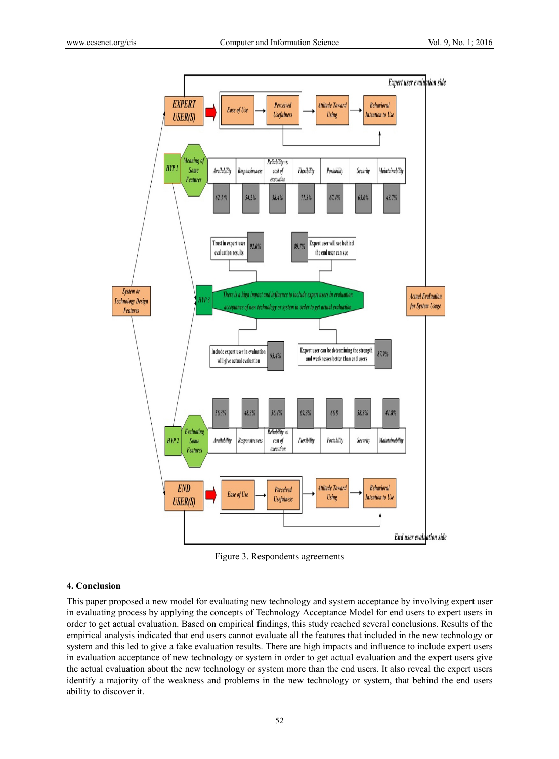

Figure 3. Respondents agreements

### **4. Conclusion**

This paper proposed a new model for evaluating new technology and system acceptance by involving expert user in evaluating process by applying the concepts of Technology Acceptance Model for end users to expert users in order to get actual evaluation. Based on empirical findings, this study reached several conclusions. Results of the empirical analysis indicated that end users cannot evaluate all the features that included in the new technology or system and this led to give a fake evaluation results. There are high impacts and influence to include expert users in evaluation acceptance of new technology or system in order to get actual evaluation and the expert users give the actual evaluation about the new technology or system more than the end users. It also reveal the expert users identify a majority of the weakness and problems in the new technology or system, that behind the end users ability to discover it.